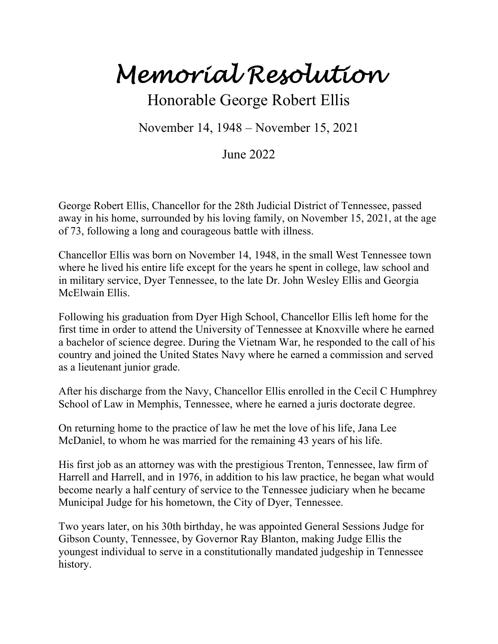*Memorial Resolution*

Honorable George Robert Ellis

November 14, 1948 – November 15, 2021

June 2022

George Robert Ellis, Chancellor for the 28th Judicial District of Tennessee, passed away in his home, surrounded by his loving family, on November 15, 2021, at the age of 73, following a long and courageous battle with illness.

Chancellor Ellis was born on November 14, 1948, in the small West Tennessee town where he lived his entire life except for the years he spent in college, law school and in military service, Dyer Tennessee, to the late Dr. John Wesley Ellis and Georgia McElwain Ellis.

Following his graduation from Dyer High School, Chancellor Ellis left home for the first time in order to attend the University of Tennessee at Knoxville where he earned a bachelor of science degree. During the Vietnam War, he responded to the call of his country and joined the United States Navy where he earned a commission and served as a lieutenant junior grade.

After his discharge from the Navy, Chancellor Ellis enrolled in the Cecil C Humphrey School of Law in Memphis, Tennessee, where he earned a juris doctorate degree.

On returning home to the practice of law he met the love of his life, Jana Lee McDaniel, to whom he was married for the remaining 43 years of his life.

His first job as an attorney was with the prestigious Trenton, Tennessee, law firm of Harrell and Harrell, and in 1976, in addition to his law practice, he began what would become nearly a half century of service to the Tennessee judiciary when he became Municipal Judge for his hometown, the City of Dyer, Tennessee.

Two years later, on his 30th birthday, he was appointed General Sessions Judge for Gibson County, Tennessee, by Governor Ray Blanton, making Judge Ellis the youngest individual to serve in a constitutionally mandated judgeship in Tennessee history.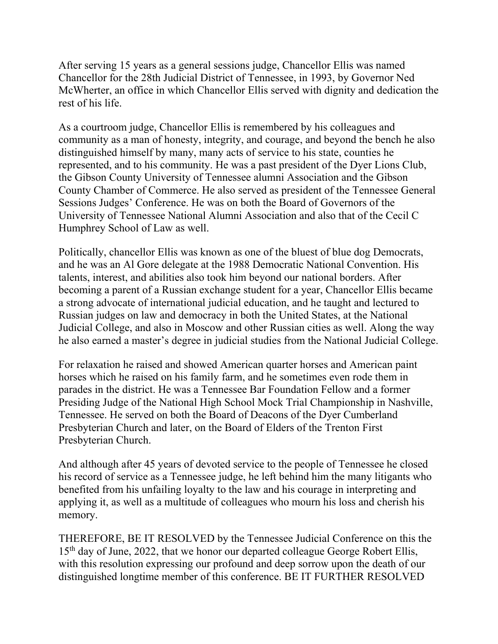After serving 15 years as a general sessions judge, Chancellor Ellis was named Chancellor for the 28th Judicial District of Tennessee, in 1993, by Governor Ned McWherter, an office in which Chancellor Ellis served with dignity and dedication the rest of his life.

As a courtroom judge, Chancellor Ellis is remembered by his colleagues and community as a man of honesty, integrity, and courage, and beyond the bench he also distinguished himself by many, many acts of service to his state, counties he represented, and to his community. He was a past president of the Dyer Lions Club, the Gibson County University of Tennessee alumni Association and the Gibson County Chamber of Commerce. He also served as president of the Tennessee General Sessions Judges' Conference. He was on both the Board of Governors of the University of Tennessee National Alumni Association and also that of the Cecil C Humphrey School of Law as well.

Politically, chancellor Ellis was known as one of the bluest of blue dog Democrats, and he was an Al Gore delegate at the 1988 Democratic National Convention. His talents, interest, and abilities also took him beyond our national borders. After becoming a parent of a Russian exchange student for a year, Chancellor Ellis became a strong advocate of international judicial education, and he taught and lectured to Russian judges on law and democracy in both the United States, at the National Judicial College, and also in Moscow and other Russian cities as well. Along the way he also earned a master's degree in judicial studies from the National Judicial College.

For relaxation he raised and showed American quarter horses and American paint horses which he raised on his family farm, and he sometimes even rode them in parades in the district. He was a Tennessee Bar Foundation Fellow and a former Presiding Judge of the National High School Mock Trial Championship in Nashville, Tennessee. He served on both the Board of Deacons of the Dyer Cumberland Presbyterian Church and later, on the Board of Elders of the Trenton First Presbyterian Church.

And although after 45 years of devoted service to the people of Tennessee he closed his record of service as a Tennessee judge, he left behind him the many litigants who benefited from his unfailing loyalty to the law and his courage in interpreting and applying it, as well as a multitude of colleagues who mourn his loss and cherish his memory.

THEREFORE, BE IT RESOLVED by the Tennessee Judicial Conference on this the 15<sup>th</sup> day of June, 2022, that we honor our departed colleague George Robert Ellis, with this resolution expressing our profound and deep sorrow upon the death of our distinguished longtime member of this conference. BE IT FURTHER RESOLVED